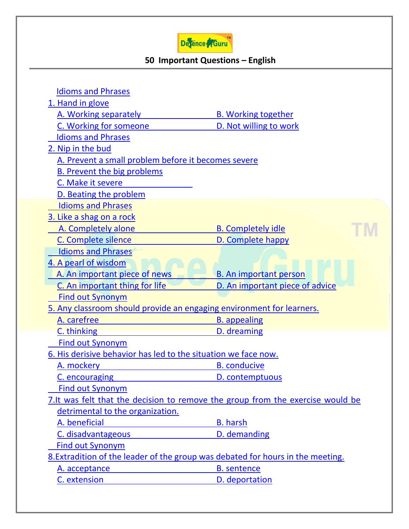

## **50 Important Questions – English**

| <b>Idioms and Phrases</b>                                                       |                                 |
|---------------------------------------------------------------------------------|---------------------------------|
| 1. Hand in glove                                                                |                                 |
| A. Working separately                                                           | <b>B. Working together</b>      |
| C. Working for someone                                                          | D. Not willing to work          |
| <b>Idioms and Phrases</b>                                                       |                                 |
| 2. Nip in the bud                                                               |                                 |
| A. Prevent a small problem before it becomes severe                             |                                 |
| <b>B. Prevent the big problems</b>                                              |                                 |
| C. Make it severe                                                               |                                 |
| D. Beating the problem                                                          |                                 |
| <b>Idioms and Phrases</b>                                                       |                                 |
| 3. Like a shag on a rock                                                        |                                 |
| A. Completely alone                                                             | <b>B.</b> Completely idle       |
| C. Complete silence                                                             | D. Complete happy               |
| <b>Idioms and Phrases</b>                                                       |                                 |
| 4. A pearl of wisdom                                                            |                                 |
| A. An important piece of news                                                   | <b>B. An important person</b>   |
| C. An important thing for life                                                  | D. An important piece of advice |
| <b>Find out Synonym</b>                                                         |                                 |
| 5. Any classroom should provide an engaging environment for learners.           |                                 |
| A. carefree                                                                     | <b>B.</b> appealing             |
| C. thinking                                                                     | D. dreaming                     |
| <b>Find out Synonym</b>                                                         |                                 |
| 6. His derisive behavior has led to the situation we face now.                  |                                 |
| A. mockery                                                                      | <b>B.</b> conducive             |
| C. encouraging                                                                  | D. contemptuous                 |
| <b>Find out Synonym</b>                                                         |                                 |
| 7. It was felt that the decision to remove the group from the exercise would be |                                 |
| detrimental to the organization.                                                |                                 |
| A. beneficial                                                                   | <b>B.</b> harsh                 |
| C. disadvantageous                                                              | D. demanding                    |
| <b>Find out Synonym</b>                                                         |                                 |
| 8. Extradition of the leader of the group was debated for hours in the meeting. |                                 |
| A. acceptance                                                                   | <b>B.</b> sentence              |
| C. extension                                                                    | D. deportation                  |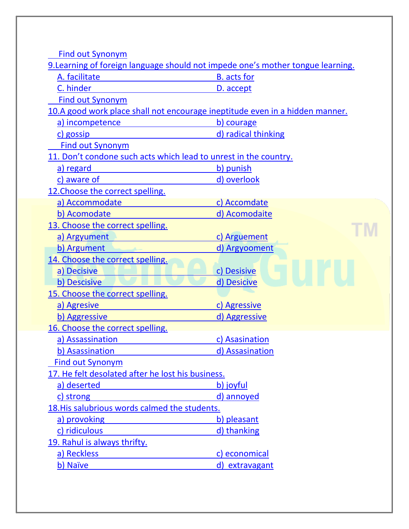[Find out Synonym](https://www.defenceguru.co.in/)

9. Learning of foreign language should not impede one's mother tongue learning.

| A. facilitate                                                                | <b>B.</b> acts for  |
|------------------------------------------------------------------------------|---------------------|
| C. hinder                                                                    | D. accept           |
| <b>Find out Synonym</b>                                                      |                     |
| 10.A good work place shall not encourage ineptitude even in a hidden manner. |                     |
| a) incompetence                                                              | b) courage          |
| c) gossip                                                                    | d) radical thinking |
| <b>Find out Synonym</b>                                                      |                     |
| 11. Don't condone such acts which lead to unrest in the country.             |                     |
| a) regard                                                                    | b) punish           |
| c) aware of                                                                  | d) overlook         |
| 12. Choose the correct spelling.                                             |                     |
| a) Accommodate                                                               | c) Accomdate        |
| b) Acomodate                                                                 | d) Acomodaite       |
| 13. Choose the correct spelling.                                             |                     |
| a) Argyument                                                                 | c) Arguement        |
| b) Argument                                                                  | d) Argyooment       |
| 14. Choose the correct spelling.                                             |                     |
| a) Decisive                                                                  | c) Desisive         |
| b) Descisive                                                                 | d) Desicive         |
| 15. Choose the correct spelling.                                             |                     |
| a) Agresive                                                                  | c) Agressive        |
| b) Aggressive                                                                | d) Aggressive       |
| 16. Choose the correct spelling.                                             |                     |
| a) Assassination                                                             | c) Asasination      |
| b) Asassination                                                              | d) Assasination     |
| <b>Find out Synonym</b>                                                      |                     |
| 17. He felt desolated after he lost his business.                            |                     |
| a) deserted                                                                  | b) joyful           |
| c) strong                                                                    | d) annoyed          |
| 18. His salubrious words calmed the students.                                |                     |
| a) provoking                                                                 | b) pleasant         |
| c) ridiculous                                                                | d) thanking         |
| 19. Rahul is always thrifty.                                                 |                     |
| a) Reckless                                                                  | c) economical       |
| b) Naïve                                                                     | d) extravagant      |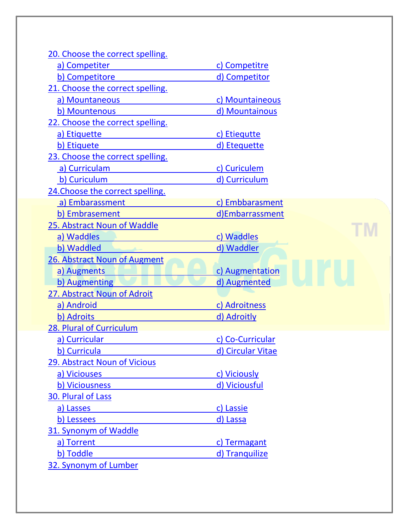| 20. Choose the correct spelling. |                   |
|----------------------------------|-------------------|
| a) Competiter                    | c) Competitre     |
| b) Competitore                   | d) Competitor     |
| 21. Choose the correct spelling. |                   |
| a) Mountaneous                   | c) Mountaineous   |
| b) Mountenous                    | d) Mountainous    |
| 22. Choose the correct spelling. |                   |
| a) Etiquette                     | c) Etiequtte      |
| b) Etiquete                      | d) Etequette      |
| 23. Choose the correct spelling. |                   |
| a) Curriculam                    | c) Curiculem      |
| b) Curiculum                     | d) Curriculum     |
| 24. Choose the correct spelling. |                   |
| a) Embarassment                  | c) Embbarasment   |
| b) Embrasement                   | d)Embarrassment   |
| 25. Abstract Noun of Waddle      |                   |
| a) Waddles                       | c) Waddles        |
| b) Waddled                       | d) Waddler        |
| 26. Abstract Noun of Augment     |                   |
| a) Augments                      | c) Augmentation   |
| b) Augmenting                    | d) Augmented      |
| 27. Abstract Noun of Adroit      |                   |
| a) Android                       | c) Adroitness     |
| b) Adroits                       | d) Adroitly       |
| 28. Plural of Curriculum         |                   |
| a) Curricular                    | c) Co-Curricular  |
| b) Curricula                     | d) Circular Vitae |
| 29. Abstract Noun of Vicious     |                   |
| a) Viciouses                     | c) Viciously      |
| b) Viciousness                   | d) Viciousful     |
| 30. Plural of Lass               |                   |
| a) Lasses                        | c) Lassie         |
| b) Lessees                       | d) Lassa          |
| 31. Synonym of Waddle            |                   |
| a) Torrent                       | c) Termagant      |
| b) Toddle                        | d) Tranquilize    |
| 32. Synonym of Lumber            |                   |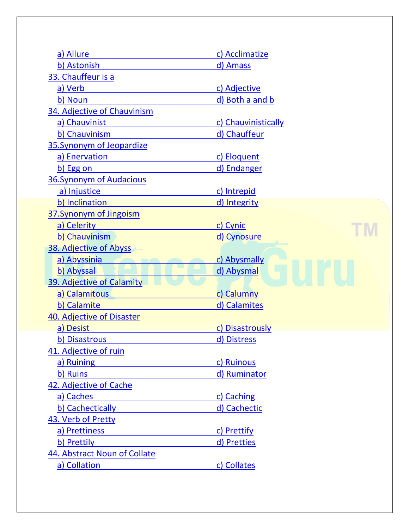| a) Allure                    | c) Acclimatize      |
|------------------------------|---------------------|
| b) Astonish                  | d) Amass            |
| 33. Chauffeur is a           |                     |
| a) Verb                      | c) Adjective        |
| b) Noun                      | d) Both a and b     |
| 34. Adjective of Chauvinism  |                     |
| a) Chauvinist                | c) Chauvinistically |
| b) Chauvinism                | d) Chauffeur        |
| 35. Synonym of Jeopardize    |                     |
| a) Enervation                | c) Eloquent         |
| b) Egg on                    | d) Endanger         |
| 36. Synonym of Audacious     |                     |
| a) Injustice                 | c) Intrepid         |
| b) Inclination               | d) Integrity        |
| 37. Synonym of Jingoism      |                     |
| a) Celerity                  | c) Cynic            |
| b) Chauvinism                | d) Cynosure         |
| 38. Adjective of Abyss       |                     |
| a) Abyssinia                 | c) Abysmally        |
| b) Abyssal                   | d) Abysmal          |
| 39. Adjective of Calamity    |                     |
| a) Calamitous                | c) Calumny          |
| b) Calamite                  | d) Calamites        |
| 40. Adjective of Disaster    |                     |
| a) Desist                    | c) Disastrously     |
| b) Disastrous                | d) Distress         |
| 41. Adjective of ruin        |                     |
| a) Ruining                   | c) Ruinous          |
| b) Ruins                     | d) Ruminator        |
| 42. Adjective of Cache       |                     |
| a) Caches                    | c) Caching          |
| b) Cachectically             | d) Cachectic        |
| 43. Verb of Pretty           |                     |
| a) Prettiness                | c) Prettify         |
| b) Prettily                  | d) Pretties         |
| 44. Abstract Noun of Collate |                     |
| a) Collation                 | c) Collates         |
|                              |                     |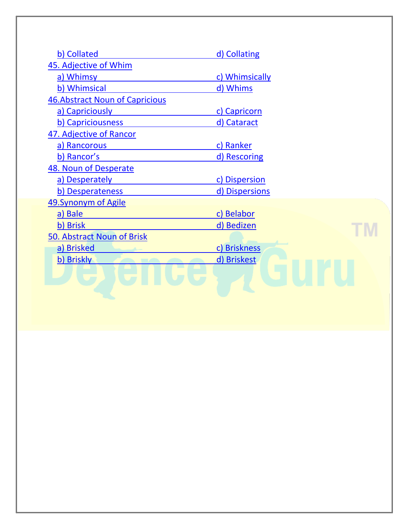| b) Collated                            | d) Collating   |
|----------------------------------------|----------------|
| 45. Adjective of Whim                  |                |
| a) Whimsy                              | c) Whimsically |
| b) Whimsical                           | d) Whims       |
| <b>46. Abstract Noun of Capricious</b> |                |
| a) Capriciously                        | c) Capricorn   |
| b) Capriciousness                      | d) Cataract    |
| 47. Adjective of Rancor                |                |
| a) Rancorous                           | c) Ranker      |
| b) Rancor's                            | d) Rescoring   |
| 48. Noun of Desperate                  |                |
| a) Desperately                         | c) Dispersion  |
| b) Desperateness                       | d) Dispersions |
| 49. Synonym of Agile                   |                |
| a) Bale                                | c) Belabor     |
| b) Brisk                               | d) Bedizen     |
| 50. Abstract Noun of Brisk             |                |
| a) Brisked                             | c) Briskness   |
| b) Briskly                             | d) Briskest    |
|                                        |                |
|                                        |                |